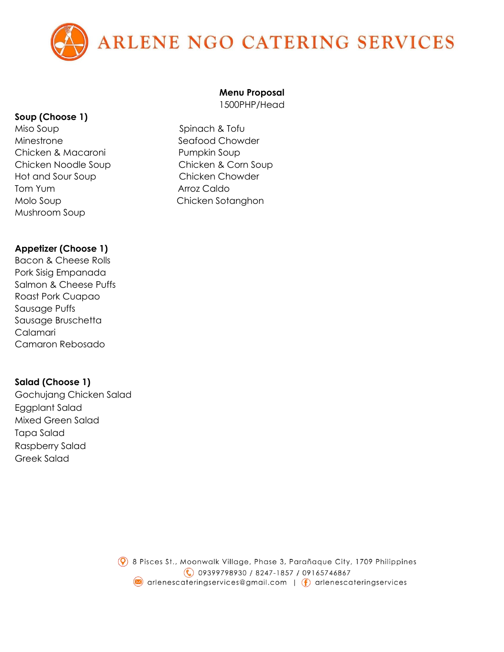

#### **Soup (Choose 1)**

Miso Soup Spinach & Tofu Minestrone **Seafood Chowder** Chicken & Macaroni **Pumpkin Soup** Hot and Sour Soup Chicken Chowder Tom Yum **Arroz Caldo** Molo Soup **Chicken Sotanghon** Mushroom Soup

#### **Appetizer (Choose 1)**

Bacon & Cheese Rolls Pork Sisig Empanada Salmon & Cheese Puffs Roast Pork Cuapao Sausage Puffs Sausage Bruschetta Calamari Camaron Rebosado

### **Salad (Choose 1)**

Gochujang Chicken Salad Eggplant Salad Mixed Green Salad Tapa Salad Raspberry Salad Greek Salad

# **Menu Proposal**

1500PHP/Head

Chicken Noodle Soup Chicken & Corn Soup

 $\circledcirc$  8 Pisces St., Moonwalk Village, Phase 3, Parañaque City, 1709 Philippines (09399798930 / 8247-1857 / 09165746867 arlenescateringservices@gmail.com | f arlenescateringservices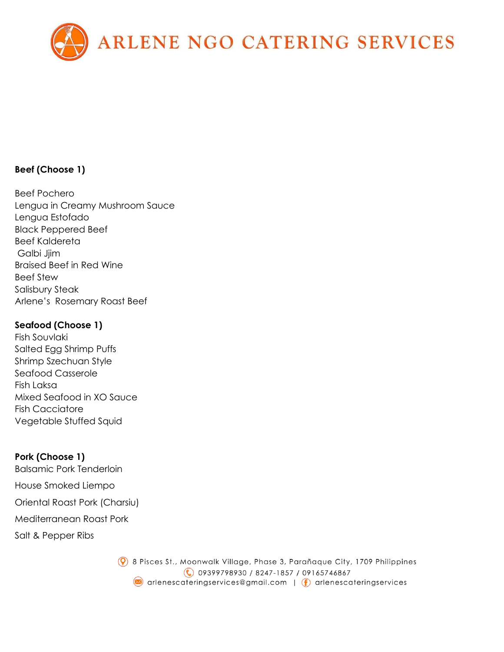

# **Beef (Choose 1)**

Beef Pochero Lengua in Creamy Mushroom Sauce Lengua Estofado Black Peppered Beef Beef Kaldereta Galbi Jjim Braised Beef in Red Wine Beef Stew Salisbury Steak Arlene's Rosemary Roast Beef

## **Seafood (Choose 1)**

Fish Souvlaki Salted Egg Shrimp Puffs Shrimp Szechuan Style Seafood Casserole Fish Laksa Mixed Seafood in XO Sauce Fish Cacciatore Vegetable Stuffed Squid

**Pork (Choose 1)** Balsamic Pork Tenderloin House Smoked Liempo Oriental Roast Pork (Charsiu) Mediterranean Roast Pork Salt & Pepper Ribs

> $\circledcirc$  8 Pisces St., Moonwalk Village, Phase 3, Parañaque City, 1709 Philippines (€) 09399798930 / 8247-1857 / 09165746867 arlenescateringservices@gmail.com | f arlenescateringservices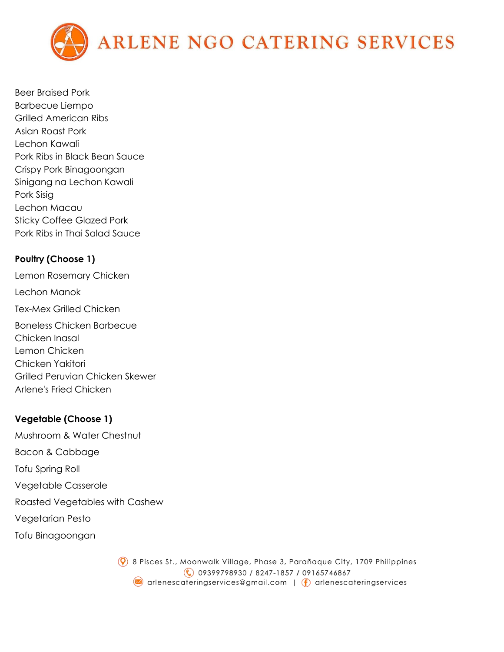

Beer Braised Pork Barbecue Liempo Grilled American Ribs Asian Roast Pork Lechon Kawali Pork Ribs in Black Bean Sauce Crispy Pork Binagoongan Sinigang na Lechon Kawali Pork Sisig Lechon Macau Sticky Coffee Glazed Pork Pork Ribs in Thai Salad Sauce

# **Poultry (Choose 1)**

Lemon Rosemary Chicken Lechon Manok Tex-Mex Grilled Chicken Boneless Chicken Barbecue Chicken Inasal Lemon Chicken Chicken Yakitori Grilled Peruvian Chicken Skewer Arlene's Fried Chicken

# **Vegetable (Choose 1)**

Mushroom & Water Chestnut Bacon & Cabbage Tofu Spring Roll Vegetable Casserole Roasted Vegetables with Cashew Vegetarian Pesto Tofu Binagoongan

> $\circledcirc$  8 Pisces St., Moonwalk Village, Phase 3, Parañaque City, 1709 Philippines (09399798930 / 8247-1857 / 09165746867 arlenescateringservices@gmail.com | f arlenescateringservices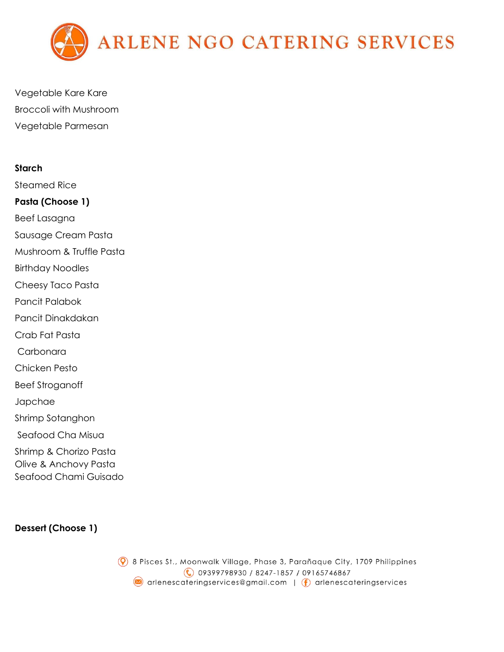

Vegetable Kare Kare Broccoli with Mushroom Vegetable Parmesan

#### **Starch**

Steamed Rice **Pasta (Choose 1)** Beef Lasagna Sausage Cream Pasta Mushroom & Truffle Pasta Birthday Noodles Cheesy Taco Pasta Pancit Palabok Pancit Dinakdakan Crab Fat Pasta Carbonara Chicken Pesto Beef Stroganoff Japchae Shrimp Sotanghon Seafood Cha Misua Shrimp & Chorizo Pasta Olive & Anchovy Pasta Seafood Chami Guisado

# **Dessert (Choose 1)**

 $\circledcirc$  8 Pisces St., Moonwalk Village, Phase 3, Parañaque City, 1709 Philippines (09399798930 / 8247-1857 / 09165746867 arlenescateringservices@gmail.com | f arlenescateringservices